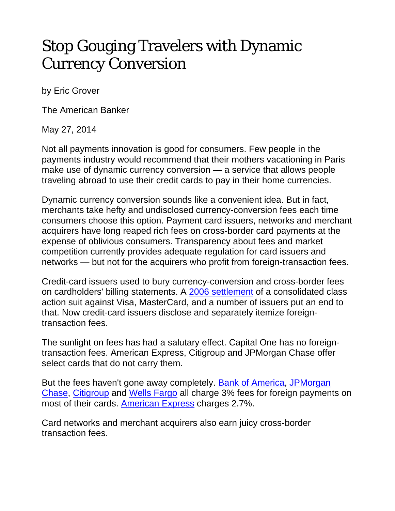## Stop Gouging Travelers with Dynamic Currency Conversion

by Eric Grover

The American Banker

May 27, 2014

Not all payments innovation is good for consumers. Few people in the payments industry would recommend that their mothers vacationing in Paris make use of dynamic currency conversion — a service that allows people traveling abroad to use their credit cards to pay in their home currencies.

Dynamic currency conversion sounds like a convenient idea. But in fact, merchants take hefty and undisclosed currency-conversion fees each time consumers choose this option. Payment card issuers, networks and merchant acquirers have long reaped rich fees on cross-border card payments at the expense of oblivious consumers. Transparency about fees and market competition currently provides adequate regulation for card issuers and networks — but not for the acquirers who profit from foreign-transaction fees.

Credit-card issuers used to bury currency-conversion and cross-border fees on cardholders' billing statements. A 2006 settlement of a consolidated class action suit against Visa, MasterCard, and a number of issuers put an end to that. Now credit-card issuers disclose and separately itemize foreigntransaction fees.

The sunlight on fees has had a salutary effect. Capital One has no foreigntransaction fees. American Express, Citigroup and JPMorgan Chase offer select cards that do not carry them.

But the fees haven't gone away completely. Bank of America, JPMorgan Chase, Citigroup and Wells Fargo all charge 3% fees for foreign payments on most of their cards. American Express charges 2.7%.

Card networks and merchant acquirers also earn juicy cross-border transaction fees.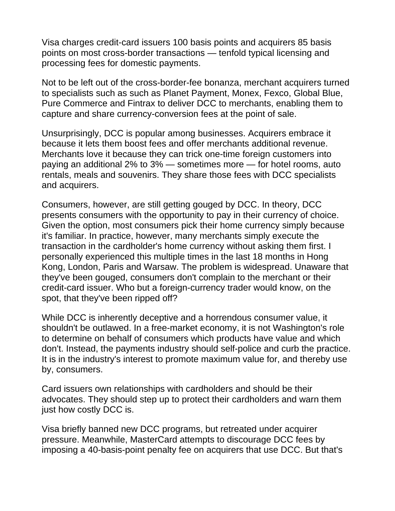Visa charges credit-card issuers 100 basis points and acquirers 85 basis points on most cross-border transactions — tenfold typical licensing and processing fees for domestic payments.

Not to be left out of the cross-border-fee bonanza, merchant acquirers turned to specialists such as such as Planet Payment, Monex, Fexco, Global Blue, Pure Commerce and Fintrax to deliver DCC to merchants, enabling them to capture and share currency-conversion fees at the point of sale.

Unsurprisingly, DCC is popular among businesses. Acquirers embrace it because it lets them boost fees and offer merchants additional revenue. Merchants love it because they can trick one-time foreign customers into paying an additional 2% to 3% — sometimes more — for hotel rooms, auto rentals, meals and souvenirs. They share those fees with DCC specialists and acquirers.

Consumers, however, are still getting gouged by DCC. In theory, DCC presents consumers with the opportunity to pay in their currency of choice. Given the option, most consumers pick their home currency simply because it's familiar. In practice, however, many merchants simply execute the transaction in the cardholder's home currency without asking them first. I personally experienced this multiple times in the last 18 months in Hong Kong, London, Paris and Warsaw. The problem is widespread. Unaware that they've been gouged, consumers don't complain to the merchant or their credit-card issuer. Who but a foreign-currency trader would know, on the spot, that they've been ripped off?

While DCC is inherently deceptive and a horrendous consumer value, it shouldn't be outlawed. In a free-market economy, it is not Washington's role to determine on behalf of consumers which products have value and which don't. Instead, the payments industry should self-police and curb the practice. It is in the industry's interest to promote maximum value for, and thereby use by, consumers.

Card issuers own relationships with cardholders and should be their advocates. They should step up to protect their cardholders and warn them just how costly DCC is.

Visa briefly banned new DCC programs, but retreated under acquirer pressure. Meanwhile, MasterCard attempts to discourage DCC fees by imposing a 40-basis-point penalty fee on acquirers that use DCC. But that's